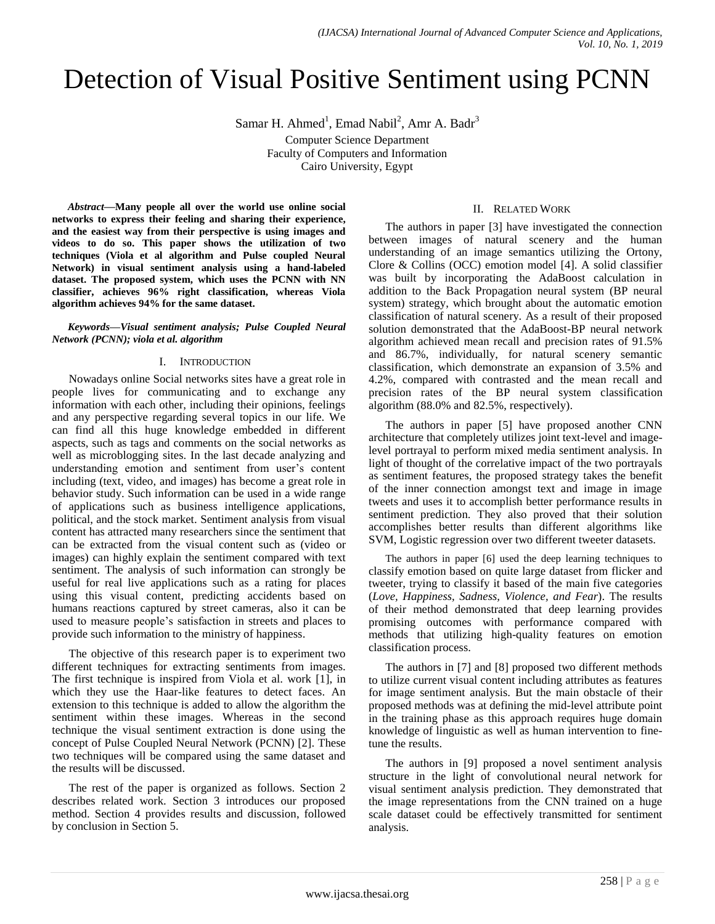# Detection of Visual Positive Sentiment using PCNN

Samar H. Ahmed<sup>1</sup>, Emad Nabil<sup>2</sup>, Amr A. Badr<sup>3</sup>

Computer Science Department Faculty of Computers and Information Cairo University, Egypt

*Abstract—***Many people all over the world use online social networks to express their feeling and sharing their experience, and the easiest way from their perspective is using images and videos to do so. This paper shows the utilization of two techniques (Viola et al algorithm and Pulse coupled Neural Network) in visual sentiment analysis using a hand-labeled dataset. The proposed system, which uses the PCNN with NN classifier, achieves 96% right classification, whereas Viola algorithm achieves 94% for the same dataset.**

*Keywords—Visual sentiment analysis; Pulse Coupled Neural Network (PCNN); viola et al. algorithm*

#### I. INTRODUCTION

Nowadays online Social networks sites have a great role in people lives for communicating and to exchange any information with each other, including their opinions, feelings and any perspective regarding several topics in our life. We can find all this huge knowledge embedded in different aspects, such as tags and comments on the social networks as well as microblogging sites. In the last decade analyzing and understanding emotion and sentiment from user's content including (text, video, and images) has become a great role in behavior study. Such information can be used in a wide range of applications such as business intelligence applications, political, and the stock market. Sentiment analysis from visual content has attracted many researchers since the sentiment that can be extracted from the visual content such as (video or images) can highly explain the sentiment compared with text sentiment. The analysis of such information can strongly be useful for real live applications such as a rating for places using this visual content, predicting accidents based on humans reactions captured by street cameras, also it can be used to measure people's satisfaction in streets and places to provide such information to the ministry of happiness.

The objective of this research paper is to experiment two different techniques for extracting sentiments from images. The first technique is inspired from Viola et al. work [1], in which they use the Haar-like features to detect faces. An extension to this technique is added to allow the algorithm the sentiment within these images. Whereas in the second technique the visual sentiment extraction is done using the concept of Pulse Coupled Neural Network (PCNN) [2]. These two techniques will be compared using the same dataset and the results will be discussed.

The rest of the paper is organized as follows. Section 2 describes related work. Section 3 introduces our proposed method. Section 4 provides results and discussion, followed by conclusion in Section 5.

## II. RELATED WORK

The authors in paper [3] have investigated the connection between images of natural scenery and the human understanding of an image semantics utilizing the Ortony, Clore & Collins (OCC) emotion model [4]. A solid classifier was built by incorporating the AdaBoost calculation in addition to the Back Propagation neural system (BP neural system) strategy, which brought about the automatic emotion classification of natural scenery. As a result of their proposed solution demonstrated that the AdaBoost-BP neural network algorithm achieved mean recall and precision rates of 91.5% and 86.7%, individually, for natural scenery semantic classification, which demonstrate an expansion of 3.5% and 4.2%, compared with contrasted and the mean recall and precision rates of the BP neural system classification algorithm (88.0% and 82.5%, respectively).

The authors in paper [5] have proposed another CNN architecture that completely utilizes joint text-level and imagelevel portrayal to perform mixed media sentiment analysis. In light of thought of the correlative impact of the two portrayals as sentiment features, the proposed strategy takes the benefit of the inner connection amongst text and image in image tweets and uses it to accomplish better performance results in sentiment prediction. They also proved that their solution accomplishes better results than different algorithms like SVM, Logistic regression over two different tweeter datasets.

The authors in paper [6] used the deep learning techniques to classify emotion based on quite large dataset from flicker and tweeter, trying to classify it based of the main five categories (*Love, Happiness, Sadness, Violence, and Fear*). The results of their method demonstrated that deep learning provides promising outcomes with performance compared with methods that utilizing high-quality features on emotion classification process.

The authors in [7] and [8] proposed two different methods to utilize current visual content including attributes as features for image sentiment analysis. But the main obstacle of their proposed methods was at defining the mid-level attribute point in the training phase as this approach requires huge domain knowledge of linguistic as well as human intervention to finetune the results.

The authors in [9] proposed a novel sentiment analysis structure in the light of convolutional neural network for visual sentiment analysis prediction. They demonstrated that the image representations from the CNN trained on a huge scale dataset could be effectively transmitted for sentiment analysis.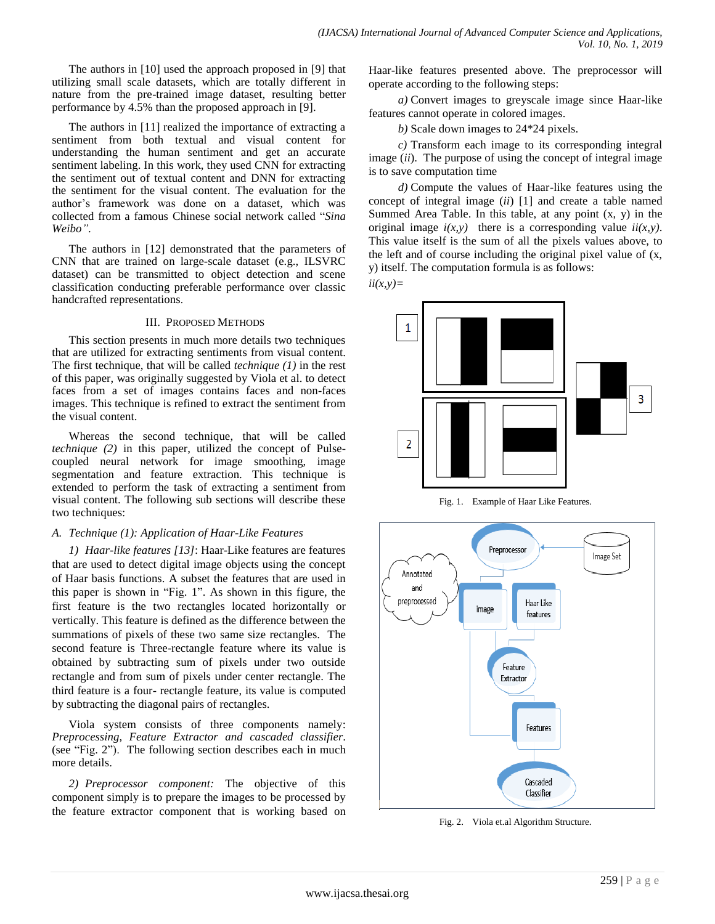The authors in [10] used the approach proposed in [9] that utilizing small scale datasets, which are totally different in nature from the pre-trained image dataset, resulting better performance by 4.5% than the proposed approach in [9].

The authors in [11] realized the importance of extracting a sentiment from both textual and visual content for understanding the human sentiment and get an accurate sentiment labeling. In this work, they used CNN for extracting the sentiment out of textual content and DNN for extracting the sentiment for the visual content. The evaluation for the author's framework was done on a dataset, which was collected from a famous Chinese social network called "*Sina Weibo"*.

The authors in [12] demonstrated that the parameters of CNN that are trained on large-scale dataset (e.g., ILSVRC dataset) can be transmitted to object detection and scene classification conducting preferable performance over classic handcrafted representations.

#### III. PROPOSED METHODS

This section presents in much more details two techniques that are utilized for extracting sentiments from visual content. The first technique, that will be called *technique (1)* in the rest of this paper, was originally suggested by Viola et al. to detect faces from a set of images contains faces and non-faces images. This technique is refined to extract the sentiment from the visual content.

Whereas the second technique, that will be called *technique (2)* in this paper, utilized the concept of Pulsecoupled neural network for image smoothing, image segmentation and feature extraction. This technique is extended to perform the task of extracting a sentiment from visual content. The following sub sections will describe these two techniques:

#### *A. Technique (1): Application of Haar-Like Features*

*1) Haar-like features [13]*: Haar-Like features are features that are used to detect digital image objects using the concept of Haar basis functions. A subset the features that are used in this paper is shown in "Fig. 1". As shown in this figure, the first feature is the two rectangles located horizontally or vertically. This feature is defined as the difference between the summations of pixels of these two same size rectangles. The second feature is Three-rectangle feature where its value is obtained by subtracting sum of pixels under two outside rectangle and from sum of pixels under center rectangle. The third feature is a four- rectangle feature, its value is computed by subtracting the diagonal pairs of rectangles.

Viola system consists of three components namely: *Preprocessing, Feature Extractor and cascaded classifier*. (see "Fig. 2"). The following section describes each in much more details.

*2) Preprocessor component:* The objective of this component simply is to prepare the images to be processed by the feature extractor component that is working based on Haar-like features presented above. The preprocessor will operate according to the following steps:

*a)* Convert images to greyscale image since Haar-like features cannot operate in colored images.

*b)* Scale down images to 24\*24 pixels.

*c)* Transform each image to its corresponding integral image (*ii*). The purpose of using the concept of integral image is to save computation time

*d)* Compute the values of Haar-like features using the concept of integral image (*ii*) [1] and create a table named Summed Area Table. In this table, at any point  $(x, y)$  in the original image  $i(x, y)$  there is a corresponding value  $ii(x, y)$ . This value itself is the sum of all the pixels values above, to the left and of course including the original pixel value of (x, y) itself. The computation formula is as follows:

*ii(x,y)=*



Fig. 1. Example of Haar Like Features.



Fig. 2. Viola et.al Algorithm Structure.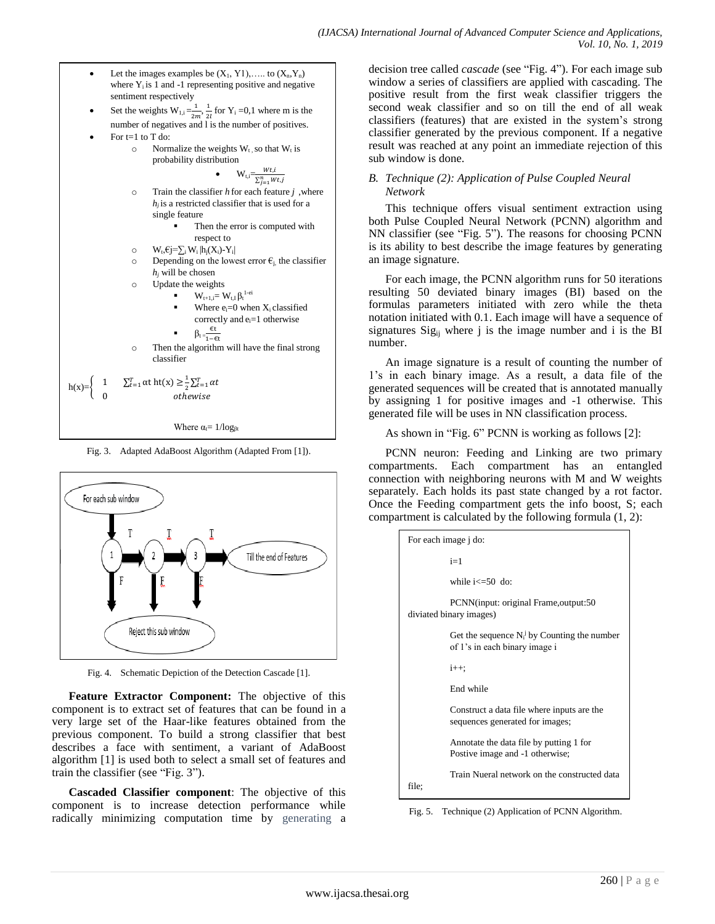- Let the images examples be  $(X_1, Y_1), \ldots$  to  $(X_n, Y_n)$ where  $Y_i$  is 1 and -1 representing positive and negative sentiment respectively
- Set the weights  $W_{1,i} = \frac{1}{2i}$  $\frac{1}{2m}$ ,  $\frac{1}{2}$  $\frac{1}{2l}$  for Y<sub>i</sub> =0,1 where m is the number of negatives and l is the number of positives.
- For t=1 to T do:
	- $\circ$  Normalize the weights  $W_t$ , so that  $W_t$  is probability distribution

•  $W_{t,i} = \frac{Wt,t}{\sum_{j=1}^{n} Wt,j}$  $Wt, i$ 

o Train the classifier *h* for each feature *j* ,where *h<sup>j</sup>* is a restricted classifier that is used for a single feature

• Then the error is computed with respect to

- o W<sub>t</sub>, €j=∑<sub>i</sub> W<sub>i</sub> |h<sub>i</sub>(X<sub>i</sub>)-Y<sub>i</sub>|
- o Depending on the lowest error  $\epsilon_{i}$ , the classifier  $h_i$  will be chosen
- o Update the weights
	- $\bullet$   $\mathbf{W}_{\text{t+1},\text{i}} = \mathbf{W}_{\text{t},\text{I}} \boldsymbol{\beta}_{\text{t}}^{\text{1-ei}}$
	- Where  $e_i=0$  when  $X_i$  classified correctly and ei=1 otherwise

$$
\qquad \qquad \text{ \quad \ } \qquad \beta_t = \hspace{-2pt}\frac{\varepsilon t}{1-\varepsilon t}
$$

o Then the algorithm will have the final strong classifier

$$
h(x)=\begin{cases} 1 & \sum_{t=1}^{T} \alpha t \ h t(x) \geq \frac{1}{2} \sum_{t=1}^{T} \alpha t \\ 0 & otherwise \end{cases}
$$

Where  $\alpha$ <sub>t</sub>=  $1/\log_{\beta}$ 

Fig. 3. Adapted AdaBoost Algorithm (Adapted From [1]).



Fig. 4. Schematic Depiction of the Detection Cascade [1].

**Feature Extractor Component:** The objective of this component is to extract set of features that can be found in a very large set of the Haar-like features obtained from the previous component. To build a strong classifier that best describes a face with sentiment, a variant of AdaBoost algorithm [1] is used both to select a small set of features and train the classifier (see "Fig. 3").

**Cascaded Classifier component**: The objective of this component is to increase detection performance while radically minimizing computation time by generating a decision tree called *cascade* (see "Fig. 4"). For each image sub window a series of classifiers are applied with cascading. The positive result from the first weak classifier triggers the second weak classifier and so on till the end of all weak classifiers (features) that are existed in the system's strong classifier generated by the previous component. If a negative result was reached at any point an immediate rejection of this sub window is done.

## *B. Technique (2): Application of Pulse Coupled Neural Network*

This technique offers visual sentiment extraction using both Pulse Coupled Neural Network (PCNN) algorithm and NN classifier (see "Fig. 5"). The reasons for choosing PCNN is its ability to best describe the image features by generating an image signature.

For each image, the PCNN algorithm runs for 50 iterations resulting 50 deviated binary images (BI) based on the formulas parameters initiated with zero while the theta notation initiated with 0.1. Each image will have a sequence of signatures  $Sig_{ii}$  where j is the image number and i is the BI number.

An image signature is a result of counting the number of 1's in each binary image. As a result, a data file of the generated sequences will be created that is annotated manually by assigning 1 for positive images and -1 otherwise. This generated file will be uses in NN classification process.

As shown in "Fig. 6" PCNN is working as follows [2]:

PCNN neuron: Feeding and Linking are two primary compartments. Each compartment has an entangled connection with neighboring neurons with M and W weights separately. Each holds its past state changed by a rot factor. Once the Feeding compartment gets the info boost, S; each compartment is calculated by the following formula (1, 2):

| For each image j do: |                                                                                  |  |  |  |  |
|----------------------|----------------------------------------------------------------------------------|--|--|--|--|
|                      | $i=1$                                                                            |  |  |  |  |
|                      | while $i \leq 50$ do:                                                            |  |  |  |  |
|                      | PCNN(input: original Frame, output: 50<br>diviated binary images)                |  |  |  |  |
|                      | Get the sequence $N_i^J$ by Counting the number<br>of 1's in each binary image i |  |  |  |  |
|                      | $i++$ ;                                                                          |  |  |  |  |
|                      | End while                                                                        |  |  |  |  |
|                      | Construct a data file where inputs are the<br>sequences generated for images;    |  |  |  |  |
|                      | Annotate the data file by putting 1 for<br>Postive image and -1 otherwise;       |  |  |  |  |
| file:                | Train Nueral network on the constructed data                                     |  |  |  |  |

Fig. 5. Technique (2) Application of PCNN Algorithm.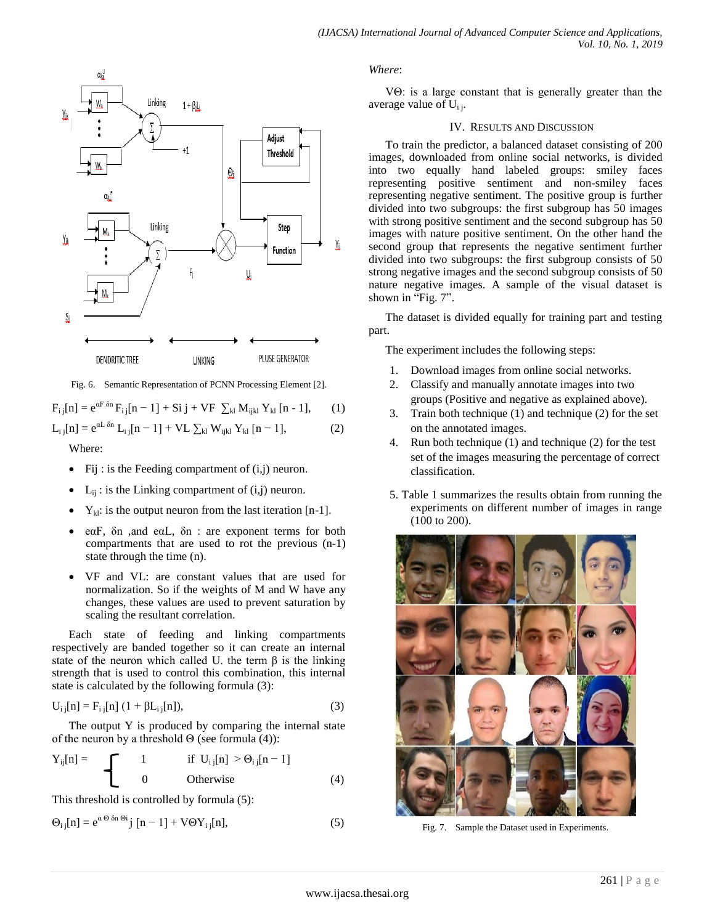

Fig. 6. Semantic Representation of PCNN Processing Element [2].

 $F_{i i}[n] = e^{\alpha F \delta n} F_{i i}[n-1] + Si j + VF \sum_{kl} M_{i i k l} Y_{kl}[n-1],$  (1)  $L_{i i}[n] = e^{\alpha L \delta n} L_{i i}[n-1] + V L \sum_{kl} W_{ijkl} Y_{kl}[n-1],$  (2)

Where:

- Fij: is the Feeding compartment of  $(i,j)$  neuron.
- $L_{ii}$ : is the Linking compartment of  $(i,j)$  neuron.
- $Y_{kl}$ : is the output neuron from the last iteration [n-1].
- eαF, δn ,and eαL, δn : are exponent terms for both compartments that are used to rot the previous (n-1) state through the time (n).
- VF and VL: are constant values that are used for normalization. So if the weights of M and W have any changes, these values are used to prevent saturation by scaling the resultant correlation.

Each state of feeding and linking compartments respectively are banded together so it can create an internal state of the neuron which called U. the term  $\beta$  is the linking strength that is used to control this combination, this internal state is calculated by the following formula (3):

$$
U_{i j}[n] = F_{i j}[n] (1 + \beta L_{i j}[n]), \qquad (3)
$$

The output Y is produced by comparing the internal state of the neuron by a threshold  $\Theta$  (see formula (4)):

$$
Y_{ij}[n] = \begin{cases} 1 & \text{if } U_{i,j}[n] > \Theta_{i,j}[n-1] \\ 0 & \text{Otherwise} \end{cases}
$$
(4)

This threshold is controlled by formula (5):

$$
\Theta_{ij}[n] = e^{\alpha \Theta \delta n \Theta i} j [n-1] + V \Theta Y_{ij}[n], \qquad (5)
$$

*Where*:

VΘ: is a large constant that is generally greater than the average value of  $U_{i,j}$ .

#### IV. RESULTS AND DISCUSSION

To train the predictor, a balanced dataset consisting of 200 images, downloaded from online social networks, is divided into two equally hand labeled groups: smiley faces representing positive sentiment and non-smiley faces representing negative sentiment. The positive group is further divided into two subgroups: the first subgroup has 50 images with strong positive sentiment and the second subgroup has 50 images with nature positive sentiment. On the other hand the second group that represents the negative sentiment further divided into two subgroups: the first subgroup consists of 50 strong negative images and the second subgroup consists of 50 nature negative images. A sample of the visual dataset is shown in "Fig. 7".

The dataset is divided equally for training part and testing part.

The experiment includes the following steps:

- 1. Download images from online social networks.
- 2. Classify and manually annotate images into two groups (Positive and negative as explained above).
- 3. Train both technique (1) and technique (2) for the set on the annotated images.
- 4. Run both technique (1) and technique (2) for the test set of the images measuring the percentage of correct classification.
- 5. Table 1 summarizes the results obtain from running the experiments on different number of images in range (100 to 200).



Fig. 7. Sample the Dataset used in Experiments.